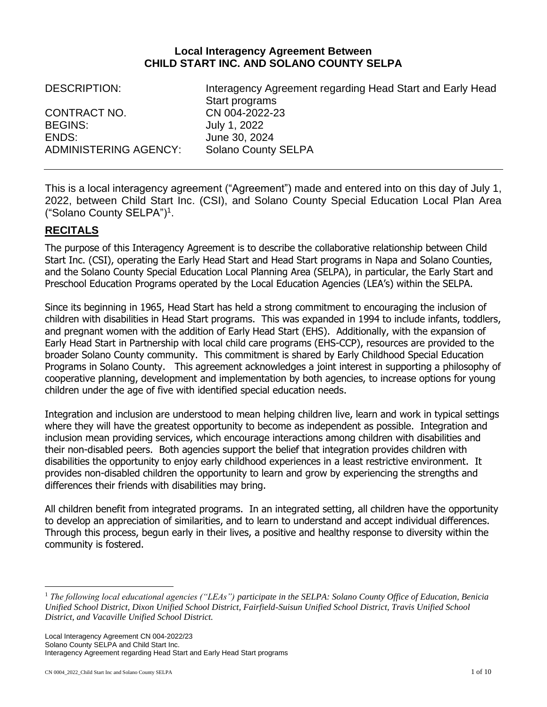## **Local Interagency Agreement Between CHILD START INC. AND SOLANO COUNTY SELPA**

| <b>DESCRIPTION:</b>   | Interagency Agreement regarding Head Start and Early Head |
|-----------------------|-----------------------------------------------------------|
|                       | Start programs                                            |
| CONTRACT NO.          | CN 004-2022-23                                            |
| <b>BEGINS:</b>        | July 1, 2022                                              |
| ENDS:                 | June 30, 2024                                             |
| ADMINISTERING AGENCY: | <b>Solano County SELPA</b>                                |

This is a local interagency agreement ("Agreement") made and entered into on this day of July 1, 2022, between Child Start Inc. (CSI), and Solano County Special Education Local Plan Area ("Solano County SELPA")<sup>1</sup> .

# **RECITALS**

The purpose of this Interagency Agreement is to describe the collaborative relationship between Child Start Inc. (CSI), operating the Early Head Start and Head Start programs in Napa and Solano Counties, and the Solano County Special Education Local Planning Area (SELPA), in particular, the Early Start and Preschool Education Programs operated by the Local Education Agencies (LEA's) within the SELPA.

Since its beginning in 1965, Head Start has held a strong commitment to encouraging the inclusion of children with disabilities in Head Start programs. This was expanded in 1994 to include infants, toddlers, and pregnant women with the addition of Early Head Start (EHS). Additionally, with the expansion of Early Head Start in Partnership with local child care programs (EHS-CCP), resources are provided to the broader Solano County community. This commitment is shared by Early Childhood Special Education Programs in Solano County. This agreement acknowledges a joint interest in supporting a philosophy of cooperative planning, development and implementation by both agencies, to increase options for young children under the age of five with identified special education needs.

Integration and inclusion are understood to mean helping children live, learn and work in typical settings where they will have the greatest opportunity to become as independent as possible. Integration and inclusion mean providing services, which encourage interactions among children with disabilities and their non-disabled peers. Both agencies support the belief that integration provides children with disabilities the opportunity to enjoy early childhood experiences in a least restrictive environment. It provides non-disabled children the opportunity to learn and grow by experiencing the strengths and differences their friends with disabilities may bring.

All children benefit from integrated programs. In an integrated setting, all children have the opportunity to develop an appreciation of similarities, and to learn to understand and accept individual differences. Through this process, begun early in their lives, a positive and healthy response to diversity within the community is fostered.

<sup>&</sup>lt;sup>1</sup> The following local educational agencies ("LEAs") participate in the SELPA: Solano County Office of Education, Benicia *Unified School District, Dixon Unified School District, Fairfield-Suisun Unified School District, Travis Unified School District, and Vacaville Unified School District.*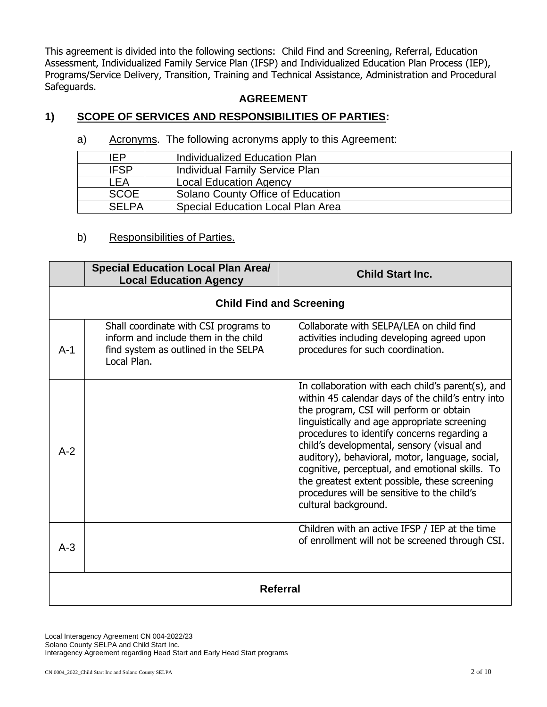This agreement is divided into the following sections: Child Find and Screening, Referral, Education Assessment, Individualized Family Service Plan (IFSP) and Individualized Education Plan Process (IEP), Programs/Service Delivery, Transition, Training and Technical Assistance, Administration and Procedural Safeguards.

### **AGREEMENT**

## **1) SCOPE OF SERVICES AND RESPONSIBILITIES OF PARTIES:**

a) Acronyms. The following acronyms apply to this Agreement:

| IEP            | Individualized Education Plan            |
|----------------|------------------------------------------|
| <b>IFSP</b>    | <b>Individual Family Service Plan</b>    |
| LEA            | <b>Local Education Agency</b>            |
| <b>SCOE</b>    | Solano County Office of Education        |
| <b>SFI PAI</b> | <b>Special Education Local Plan Area</b> |

### b) Responsibilities of Parties.

|                 | <b>Special Education Local Plan Area/</b><br><b>Local Education Agency</b>                                                           | <b>Child Start Inc.</b>                                                                                                                                                                                                                                                                                                                                                                                                                                                                                                      |  |
|-----------------|--------------------------------------------------------------------------------------------------------------------------------------|------------------------------------------------------------------------------------------------------------------------------------------------------------------------------------------------------------------------------------------------------------------------------------------------------------------------------------------------------------------------------------------------------------------------------------------------------------------------------------------------------------------------------|--|
|                 | <b>Child Find and Screening</b>                                                                                                      |                                                                                                                                                                                                                                                                                                                                                                                                                                                                                                                              |  |
| $A-1$           | Shall coordinate with CSI programs to<br>inform and include them in the child<br>find system as outlined in the SELPA<br>Local Plan. | Collaborate with SELPA/LEA on child find<br>activities including developing agreed upon<br>procedures for such coordination.                                                                                                                                                                                                                                                                                                                                                                                                 |  |
| $A-2$           |                                                                                                                                      | In collaboration with each child's parent(s), and<br>within 45 calendar days of the child's entry into<br>the program, CSI will perform or obtain<br>linguistically and age appropriate screening<br>procedures to identify concerns regarding a<br>child's developmental, sensory (visual and<br>auditory), behavioral, motor, language, social,<br>cognitive, perceptual, and emotional skills. To<br>the greatest extent possible, these screening<br>procedures will be sensitive to the child's<br>cultural background. |  |
| $A-3$           |                                                                                                                                      | Children with an active IFSP / IEP at the time<br>of enrollment will not be screened through CSI.                                                                                                                                                                                                                                                                                                                                                                                                                            |  |
| <b>Referral</b> |                                                                                                                                      |                                                                                                                                                                                                                                                                                                                                                                                                                                                                                                                              |  |

Local Interagency Agreement CN 004-2022/23 Solano County SELPA and Child Start Inc. Interagency Agreement regarding Head Start and Early Head Start programs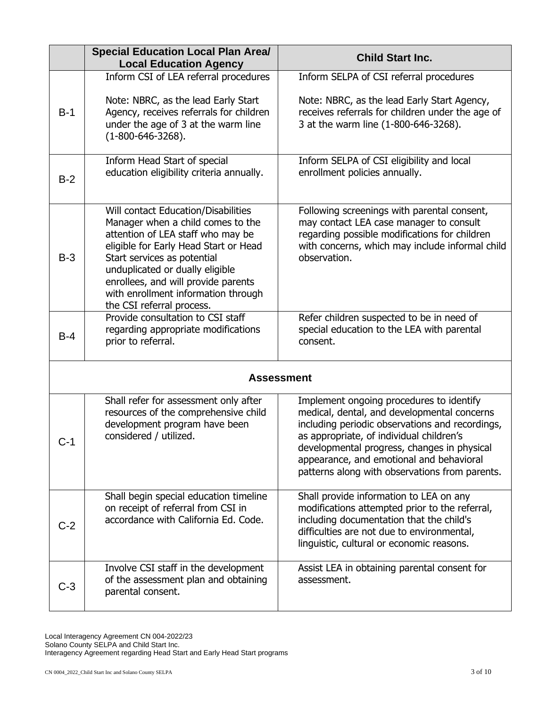|                   | <b>Special Education Local Plan Area/</b>                                                                                                                                                                                                                                                                                           | <b>Child Start Inc.</b>                                                                                                                                                                                                                                                                                                             |  |
|-------------------|-------------------------------------------------------------------------------------------------------------------------------------------------------------------------------------------------------------------------------------------------------------------------------------------------------------------------------------|-------------------------------------------------------------------------------------------------------------------------------------------------------------------------------------------------------------------------------------------------------------------------------------------------------------------------------------|--|
|                   | <b>Local Education Agency</b><br>Inform CSI of LEA referral procedures                                                                                                                                                                                                                                                              | Inform SELPA of CSI referral procedures                                                                                                                                                                                                                                                                                             |  |
| $B-1$             | Note: NBRC, as the lead Early Start<br>Agency, receives referrals for children<br>under the age of 3 at the warm line<br>$(1-800-646-3268).$                                                                                                                                                                                        | Note: NBRC, as the lead Early Start Agency,<br>receives referrals for children under the age of<br>3 at the warm line (1-800-646-3268).                                                                                                                                                                                             |  |
| $B-2$             | Inform Head Start of special<br>education eligibility criteria annually.                                                                                                                                                                                                                                                            | Inform SELPA of CSI eligibility and local<br>enrollment policies annually.                                                                                                                                                                                                                                                          |  |
| $B-3$             | Will contact Education/Disabilities<br>Manager when a child comes to the<br>attention of LEA staff who may be<br>eligible for Early Head Start or Head<br>Start services as potential<br>unduplicated or dually eligible<br>enrollees, and will provide parents<br>with enrollment information through<br>the CSI referral process. | Following screenings with parental consent,<br>may contact LEA case manager to consult<br>regarding possible modifications for children<br>with concerns, which may include informal child<br>observation.                                                                                                                          |  |
| $B-4$             | Provide consultation to CSI staff<br>regarding appropriate modifications<br>prior to referral.                                                                                                                                                                                                                                      | Refer children suspected to be in need of<br>special education to the LEA with parental<br>consent.                                                                                                                                                                                                                                 |  |
| <b>Assessment</b> |                                                                                                                                                                                                                                                                                                                                     |                                                                                                                                                                                                                                                                                                                                     |  |
| C-1               | Shall refer for assessment only after<br>resources of the comprehensive child<br>development program have been<br>considered / utilized.                                                                                                                                                                                            | Implement ongoing procedures to identify<br>medical, dental, and developmental concerns<br>including periodic observations and recordings,<br>as appropriate, of individual children's<br>developmental progress, changes in physical<br>appearance, and emotional and behavioral<br>patterns along with observations from parents. |  |
| $C-2$             | Shall begin special education timeline<br>on receipt of referral from CSI in<br>accordance with California Ed. Code.                                                                                                                                                                                                                | Shall provide information to LEA on any<br>modifications attempted prior to the referral,<br>including documentation that the child's<br>difficulties are not due to environmental,<br>linguistic, cultural or economic reasons.                                                                                                    |  |
| C-3               | Involve CSI staff in the development<br>of the assessment plan and obtaining<br>parental consent.                                                                                                                                                                                                                                   | Assist LEA in obtaining parental consent for<br>assessment.                                                                                                                                                                                                                                                                         |  |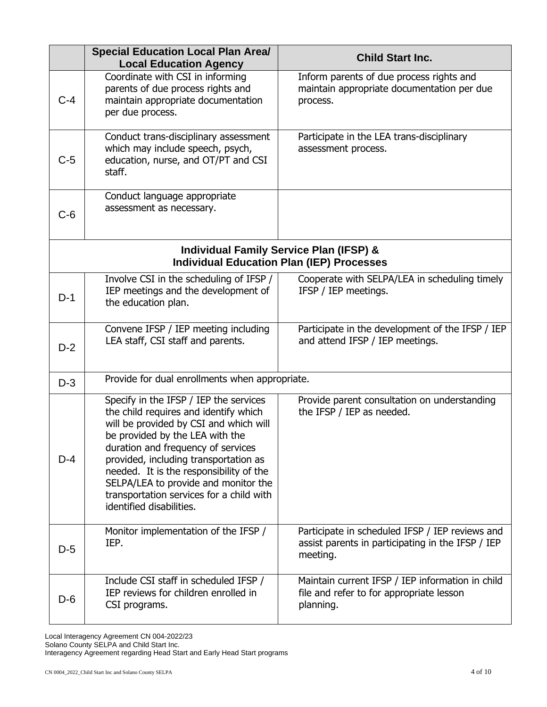|                                                                                                        | <b>Special Education Local Plan Area/</b>                                                                                                                                                                                                                                                                                                                                                              | <b>Child Start Inc.</b>                                                                                          |  |
|--------------------------------------------------------------------------------------------------------|--------------------------------------------------------------------------------------------------------------------------------------------------------------------------------------------------------------------------------------------------------------------------------------------------------------------------------------------------------------------------------------------------------|------------------------------------------------------------------------------------------------------------------|--|
| $C-4$                                                                                                  | <b>Local Education Agency</b><br>Coordinate with CSI in informing<br>parents of due process rights and<br>maintain appropriate documentation<br>per due process.                                                                                                                                                                                                                                       | Inform parents of due process rights and<br>maintain appropriate documentation per due<br>process.               |  |
| $C-5$                                                                                                  | Conduct trans-disciplinary assessment<br>which may include speech, psych,<br>education, nurse, and OT/PT and CSI<br>staff.                                                                                                                                                                                                                                                                             | Participate in the LEA trans-disciplinary<br>assessment process.                                                 |  |
| $C-6$                                                                                                  | Conduct language appropriate<br>assessment as necessary.                                                                                                                                                                                                                                                                                                                                               |                                                                                                                  |  |
| <b>Individual Family Service Plan (IFSP) &amp;</b><br><b>Individual Education Plan (IEP) Processes</b> |                                                                                                                                                                                                                                                                                                                                                                                                        |                                                                                                                  |  |
| $D-1$                                                                                                  | Involve CSI in the scheduling of IFSP /<br>IEP meetings and the development of<br>the education plan.                                                                                                                                                                                                                                                                                                  | Cooperate with SELPA/LEA in scheduling timely<br>IFSP / IEP meetings.                                            |  |
| $D-2$                                                                                                  | Convene IFSP / IEP meeting including<br>LEA staff, CSI staff and parents.                                                                                                                                                                                                                                                                                                                              | Participate in the development of the IFSP / IEP<br>and attend IFSP / IEP meetings.                              |  |
| $D-3$                                                                                                  | Provide for dual enrollments when appropriate.                                                                                                                                                                                                                                                                                                                                                         |                                                                                                                  |  |
| $D-4$                                                                                                  | Specify in the IFSP / IEP the services<br>the child requires and identify which<br>will be provided by CSI and which will<br>be provided by the LEA with the<br>duration and frequency of services<br>provided, including transportation as<br>needed. It is the responsibility of the<br>SELPA/LEA to provide and monitor the<br>transportation services for a child with<br>identified disabilities. | Provide parent consultation on understanding<br>the IFSP / IEP as needed.                                        |  |
| $D-5$                                                                                                  | Monitor implementation of the IFSP /<br>IEP.                                                                                                                                                                                                                                                                                                                                                           | Participate in scheduled IFSP / IEP reviews and<br>assist parents in participating in the IFSP / IEP<br>meeting. |  |
| $D-6$                                                                                                  | Include CSI staff in scheduled IFSP /<br>IEP reviews for children enrolled in<br>CSI programs.                                                                                                                                                                                                                                                                                                         | Maintain current IFSP / IEP information in child<br>file and refer to for appropriate lesson<br>planning.        |  |

Local Interagency Agreement CN 004-2022/23 Solano County SELPA and Child Start Inc. Interagency Agreement regarding Head Start and Early Head Start programs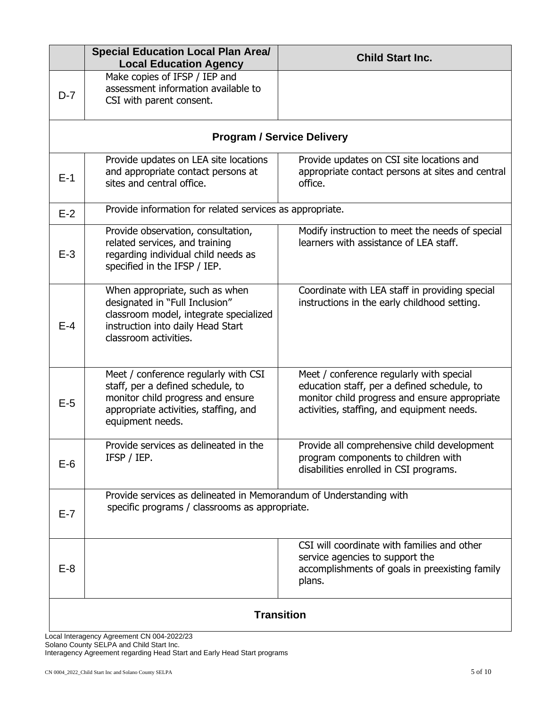|                   | <b>Special Education Local Plan Area/</b><br><b>Local Education Agency</b>                                                                                                  | <b>Child Start Inc.</b>                                                                                                                                                                |
|-------------------|-----------------------------------------------------------------------------------------------------------------------------------------------------------------------------|----------------------------------------------------------------------------------------------------------------------------------------------------------------------------------------|
| $D-7$             | Make copies of IFSP / IEP and<br>assessment information available to<br>CSI with parent consent.                                                                            |                                                                                                                                                                                        |
|                   |                                                                                                                                                                             | <b>Program / Service Delivery</b>                                                                                                                                                      |
| $E-1$             | Provide updates on LEA site locations<br>and appropriate contact persons at<br>sites and central office.                                                                    | Provide updates on CSI site locations and<br>appropriate contact persons at sites and central<br>office.                                                                               |
| $E-2$             | Provide information for related services as appropriate.                                                                                                                    |                                                                                                                                                                                        |
| $E-3$             | Provide observation, consultation,<br>related services, and training<br>regarding individual child needs as<br>specified in the IFSP / IEP.                                 | Modify instruction to meet the needs of special<br>learners with assistance of LEA staff.                                                                                              |
| $E-4$             | When appropriate, such as when<br>designated in "Full Inclusion"<br>classroom model, integrate specialized<br>instruction into daily Head Start<br>classroom activities.    | Coordinate with LEA staff in providing special<br>instructions in the early childhood setting.                                                                                         |
| $E-5$             | Meet / conference regularly with CSI<br>staff, per a defined schedule, to<br>monitor child progress and ensure<br>appropriate activities, staffing, and<br>equipment needs. | Meet / conference regularly with special<br>education staff, per a defined schedule, to<br>monitor child progress and ensure appropriate<br>activities, staffing, and equipment needs. |
| $E-6$             | Provide services as delineated in the<br>IFSP / IEP.                                                                                                                        | Provide all comprehensive child development<br>program components to children with<br>disabilities enrolled in CSI programs.                                                           |
| $E-7$             | Provide services as delineated in Memorandum of Understanding with<br>specific programs / classrooms as appropriate.                                                        |                                                                                                                                                                                        |
| $E-8$             |                                                                                                                                                                             | CSI will coordinate with families and other<br>service agencies to support the<br>accomplishments of goals in preexisting family<br>plans.                                             |
| <b>Transition</b> |                                                                                                                                                                             |                                                                                                                                                                                        |

Local Interagency Agreement CN 004-2022/23 Solano County SELPA and Child Start Inc. Interagency Agreement regarding Head Start and Early Head Start programs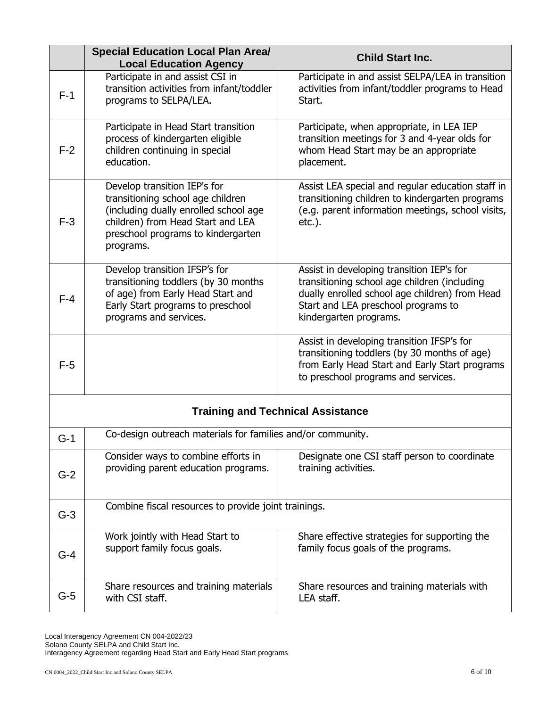|                                          | <b>Special Education Local Plan Area/</b><br><b>Local Education Agency</b>                                                                                                                         | <b>Child Start Inc.</b>                                                                                                                                                                                      |  |
|------------------------------------------|----------------------------------------------------------------------------------------------------------------------------------------------------------------------------------------------------|--------------------------------------------------------------------------------------------------------------------------------------------------------------------------------------------------------------|--|
| $F-1$                                    | Participate in and assist CSI in<br>transition activities from infant/toddler<br>programs to SELPA/LEA.                                                                                            | Participate in and assist SELPA/LEA in transition<br>activities from infant/toddler programs to Head<br>Start.                                                                                               |  |
| $F-2$                                    | Participate in Head Start transition<br>process of kindergarten eligible<br>children continuing in special<br>education.                                                                           | Participate, when appropriate, in LEA IEP<br>transition meetings for 3 and 4-year olds for<br>whom Head Start may be an appropriate<br>placement.                                                            |  |
| $F-3$                                    | Develop transition IEP's for<br>transitioning school age children<br>(including dually enrolled school age<br>children) from Head Start and LEA<br>preschool programs to kindergarten<br>programs. | Assist LEA special and regular education staff in<br>transitioning children to kindergarten programs<br>(e.g. parent information meetings, school visits,<br>$etc.$ ).                                       |  |
| $F-4$                                    | Develop transition IFSP's for<br>transitioning toddlers (by 30 months<br>of age) from Early Head Start and<br>Early Start programs to preschool<br>programs and services.                          | Assist in developing transition IEP's for<br>transitioning school age children (including<br>dually enrolled school age children) from Head<br>Start and LEA preschool programs to<br>kindergarten programs. |  |
| $F-5$                                    |                                                                                                                                                                                                    | Assist in developing transition IFSP's for<br>transitioning toddlers (by 30 months of age)<br>from Early Head Start and Early Start programs<br>to preschool programs and services.                          |  |
| <b>Training and Technical Assistance</b> |                                                                                                                                                                                                    |                                                                                                                                                                                                              |  |
| $G-1$                                    | Co-design outreach materials for families and/or community.                                                                                                                                        |                                                                                                                                                                                                              |  |
| $G-2$                                    | Consider ways to combine efforts in<br>providing parent education programs.                                                                                                                        | Designate one CSI staff person to coordinate<br>training activities.                                                                                                                                         |  |
| $G-3$                                    | Combine fiscal resources to provide joint trainings.                                                                                                                                               |                                                                                                                                                                                                              |  |
| $G-4$                                    | Work jointly with Head Start to<br>support family focus goals.                                                                                                                                     | Share effective strategies for supporting the<br>family focus goals of the programs.                                                                                                                         |  |
| $G-5$                                    | Share resources and training materials<br>with CSI staff.                                                                                                                                          | Share resources and training materials with<br>LEA staff.                                                                                                                                                    |  |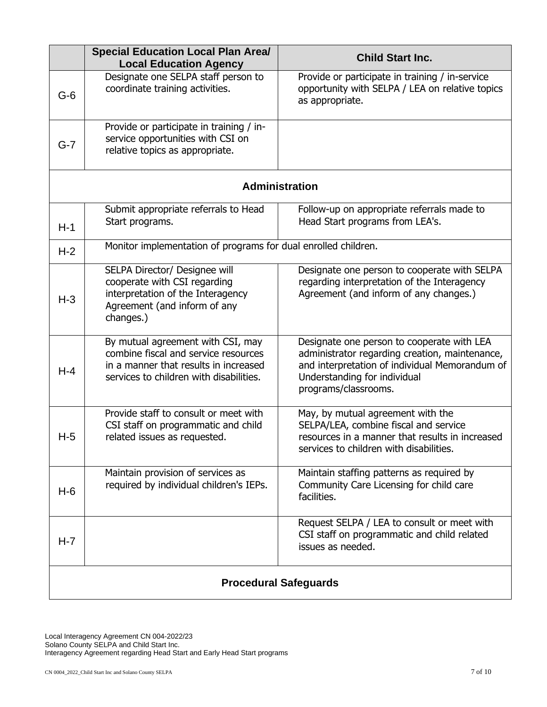|                              | <b>Special Education Local Plan Area/</b><br><b>Local Education Agency</b>                                                                                    | <b>Child Start Inc.</b>                                                                                                                                                                                |
|------------------------------|---------------------------------------------------------------------------------------------------------------------------------------------------------------|--------------------------------------------------------------------------------------------------------------------------------------------------------------------------------------------------------|
| $G-6$                        | Designate one SELPA staff person to<br>coordinate training activities.                                                                                        | Provide or participate in training / in-service<br>opportunity with SELPA / LEA on relative topics<br>as appropriate.                                                                                  |
| $G-7$                        | Provide or participate in training / in-<br>service opportunities with CSI on<br>relative topics as appropriate.                                              |                                                                                                                                                                                                        |
|                              |                                                                                                                                                               | <b>Administration</b>                                                                                                                                                                                  |
| $H-1$                        | Submit appropriate referrals to Head<br>Start programs.                                                                                                       | Follow-up on appropriate referrals made to<br>Head Start programs from LEA's.                                                                                                                          |
| $H-2$                        | Monitor implementation of programs for dual enrolled children.                                                                                                |                                                                                                                                                                                                        |
| $H-3$                        | SELPA Director/ Designee will<br>cooperate with CSI regarding<br>interpretation of the Interagency<br>Agreement (and inform of any<br>changes.)               | Designate one person to cooperate with SELPA<br>regarding interpretation of the Interagency<br>Agreement (and inform of any changes.)                                                                  |
| $H-4$                        | By mutual agreement with CSI, may<br>combine fiscal and service resources<br>in a manner that results in increased<br>services to children with disabilities. | Designate one person to cooperate with LEA<br>administrator regarding creation, maintenance,<br>and interpretation of individual Memorandum of<br>Understanding for individual<br>programs/classrooms. |
| $H-5$                        | Provide staff to consult or meet with<br>CSI staff on programmatic and child<br>related issues as requested.                                                  | May, by mutual agreement with the<br>SELPA/LEA, combine fiscal and service<br>resources in a manner that results in increased<br>services to children with disabilities.                               |
| $H-6$                        | Maintain provision of services as<br>required by individual children's IEPs.                                                                                  | Maintain staffing patterns as required by<br>Community Care Licensing for child care<br>facilities.                                                                                                    |
| $H - 7$                      |                                                                                                                                                               | Request SELPA / LEA to consult or meet with<br>CSI staff on programmatic and child related<br>issues as needed.                                                                                        |
| <b>Procedural Safeguards</b> |                                                                                                                                                               |                                                                                                                                                                                                        |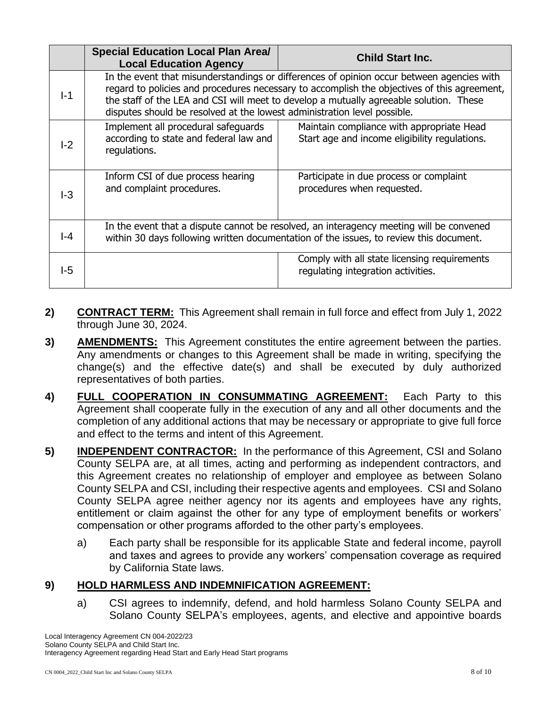|       | <b>Special Education Local Plan Area/</b><br><b>Local Education Agency</b>                                                                                                                                                                                                                                                                                     | <b>Child Start Inc.</b>                                                                    |
|-------|----------------------------------------------------------------------------------------------------------------------------------------------------------------------------------------------------------------------------------------------------------------------------------------------------------------------------------------------------------------|--------------------------------------------------------------------------------------------|
| $I-1$ | In the event that misunderstandings or differences of opinion occur between agencies with<br>regard to policies and procedures necessary to accomplish the objectives of this agreement,<br>the staff of the LEA and CSI will meet to develop a mutually agreeable solution. These<br>disputes should be resolved at the lowest administration level possible. |                                                                                            |
| $-2$  | Implement all procedural safeguards<br>according to state and federal law and<br>regulations.                                                                                                                                                                                                                                                                  | Maintain compliance with appropriate Head<br>Start age and income eligibility regulations. |
| $-3$  | Inform CSI of due process hearing<br>and complaint procedures.                                                                                                                                                                                                                                                                                                 | Participate in due process or complaint<br>procedures when requested.                      |
| l-4   | In the event that a dispute cannot be resolved, an interagency meeting will be convened<br>within 30 days following written documentation of the issues, to review this document.                                                                                                                                                                              |                                                                                            |
| I-5   |                                                                                                                                                                                                                                                                                                                                                                | Comply with all state licensing requirements<br>regulating integration activities.         |

- **2) CONTRACT TERM:** This Agreement shall remain in full force and effect from July 1, 2022 through June 30, 2024.
- **3) AMENDMENTS:** This Agreement constitutes the entire agreement between the parties. Any amendments or changes to this Agreement shall be made in writing, specifying the change(s) and the effective date(s) and shall be executed by duly authorized representatives of both parties.
- **4) FULL COOPERATION IN CONSUMMATING AGREEMENT:** Each Party to this Agreement shall cooperate fully in the execution of any and all other documents and the completion of any additional actions that may be necessary or appropriate to give full force and effect to the terms and intent of this Agreement.
- **5) INDEPENDENT CONTRACTOR:** In the performance of this Agreement, CSI and Solano County SELPA are, at all times, acting and performing as independent contractors, and this Agreement creates no relationship of employer and employee as between Solano County SELPA and CSI, including their respective agents and employees. CSI and Solano County SELPA agree neither agency nor its agents and employees have any rights, entitlement or claim against the other for any type of employment benefits or workers' compensation or other programs afforded to the other party's employees.
	- a) Each party shall be responsible for its applicable State and federal income, payroll and taxes and agrees to provide any workers' compensation coverage as required by California State laws.

# **9) HOLD HARMLESS AND INDEMNIFICATION AGREEMENT:**

a) CSI agrees to indemnify, defend, and hold harmless Solano County SELPA and Solano County SELPA's employees, agents, and elective and appointive boards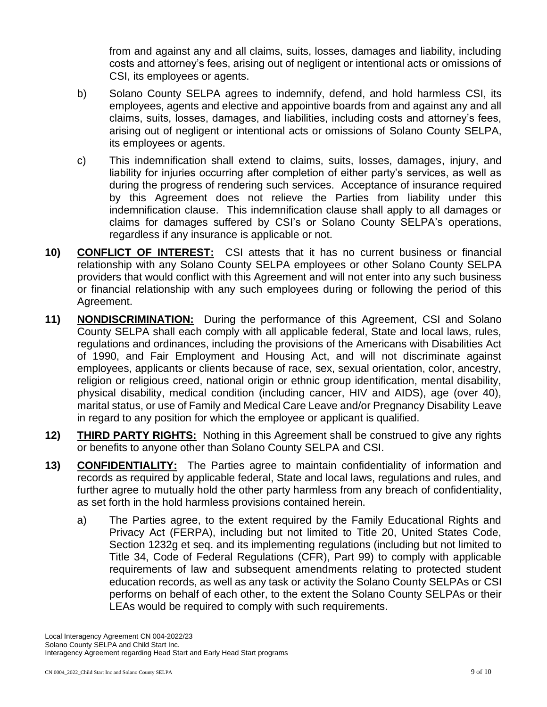from and against any and all claims, suits, losses, damages and liability, including costs and attorney's fees, arising out of negligent or intentional acts or omissions of CSI, its employees or agents.

- b) Solano County SELPA agrees to indemnify, defend, and hold harmless CSI, its employees, agents and elective and appointive boards from and against any and all claims, suits, losses, damages, and liabilities, including costs and attorney's fees, arising out of negligent or intentional acts or omissions of Solano County SELPA, its employees or agents.
- c) This indemnification shall extend to claims, suits, losses, damages, injury, and liability for injuries occurring after completion of either party's services, as well as during the progress of rendering such services. Acceptance of insurance required by this Agreement does not relieve the Parties from liability under this indemnification clause. This indemnification clause shall apply to all damages or claims for damages suffered by CSI's or Solano County SELPA's operations, regardless if any insurance is applicable or not.
- **10) CONFLICT OF INTEREST:** CSI attests that it has no current business or financial relationship with any Solano County SELPA employees or other Solano County SELPA providers that would conflict with this Agreement and will not enter into any such business or financial relationship with any such employees during or following the period of this Agreement.
- **11) NONDISCRIMINATION:** During the performance of this Agreement, CSI and Solano County SELPA shall each comply with all applicable federal, State and local laws, rules, regulations and ordinances, including the provisions of the Americans with Disabilities Act of 1990, and Fair Employment and Housing Act, and will not discriminate against employees, applicants or clients because of race, sex, sexual orientation, color, ancestry, religion or religious creed, national origin or ethnic group identification, mental disability, physical disability, medical condition (including cancer, HIV and AIDS), age (over 40), marital status, or use of Family and Medical Care Leave and/or Pregnancy Disability Leave in regard to any position for which the employee or applicant is qualified.
- **12) THIRD PARTY RIGHTS:** Nothing in this Agreement shall be construed to give any rights or benefits to anyone other than Solano County SELPA and CSI.
- **13) CONFIDENTIALITY:** The Parties agree to maintain confidentiality of information and records as required by applicable federal, State and local laws, regulations and rules, and further agree to mutually hold the other party harmless from any breach of confidentiality, as set forth in the hold harmless provisions contained herein.
	- a) The Parties agree, to the extent required by the Family Educational Rights and Privacy Act (FERPA), including but not limited to Title 20, United States Code, Section 1232g et seq. and its implementing regulations (including but not limited to Title 34, Code of Federal Regulations (CFR), Part 99) to comply with applicable requirements of law and subsequent amendments relating to protected student education records, as well as any task or activity the Solano County SELPAs or CSI performs on behalf of each other, to the extent the Solano County SELPAs or their LEAs would be required to comply with such requirements.